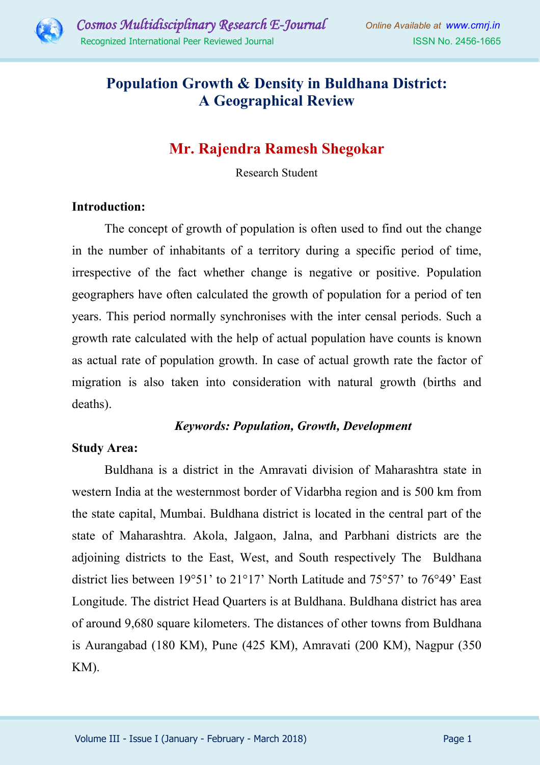

# **Population Growth & Density in Buldhana District: A Geographical Review**

# **Mr. Rajendra Ramesh Shegokar**

Research Student

### **Introduction:**

The concept of growth of population is often used to find out the change in the number of inhabitants of a territory during a specific period of time, irrespective of the fact whether change is negative or positive. Population geographers have often calculated the growth of population for a period of ten years. This period normally synchronises with the inter censal periods. Such a growth rate calculated with the help of actual population have counts is known as actual rate of population growth. In case of actual growth rate the factor of migration is also taken into consideration with natural growth (births and deaths).

### *Keywords: Population, Growth, Development*

### **Study Area:**

Buldhana is a district in the Amravati division of Maharashtra state in western India at the westernmost border of Vidarbha region and is 500 km from the state capital, Mumbai. Buldhana district is located in the central part of the state of Maharashtra. Akola, Jalgaon, Jalna, and Parbhani districts are the adjoining districts to the East, West, and South respectively The Buldhana district lies between 19°51' to 21°17' North Latitude and 75°57' to 76°49' East Longitude. The district Head Quarters is at Buldhana. Buldhana district has area of around 9,680 square kilometers. The distances of other towns from Buldhana is Aurangabad (180 KM), Pune (425 KM), Amravati (200 KM), Nagpur (350 KM).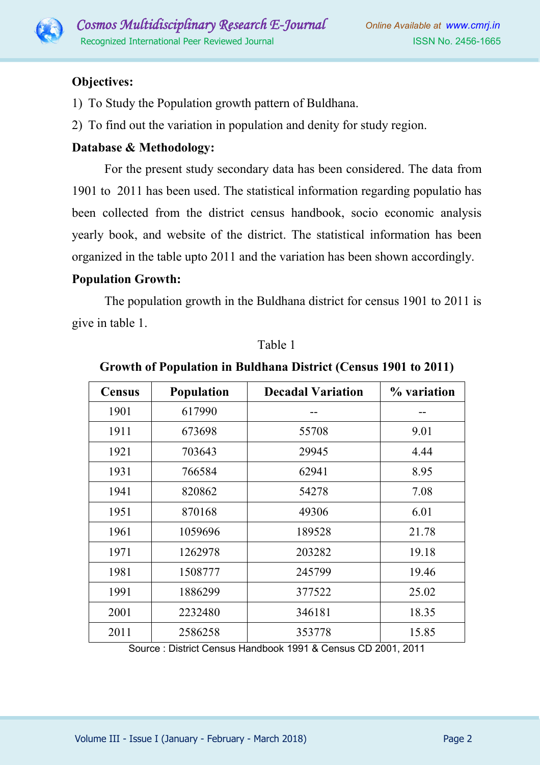

# **Objectives:**

- 1) To Study the Population growth pattern of Buldhana.
- 2) To find out the variation in population and denity for study region.

## **Database & Methodology:**

For the present study secondary data has been considered. The data from 1901 to 2011 has been used. The statistical information regarding populatio has been collected from the district census handbook, socio economic analysis yearly book, and website of the district. The statistical information has been organized in the table upto 2011 and the variation has been shown accordingly.

### **Population Growth:**

The population growth in the Buldhana district for census 1901 to 2011 is give in table 1.

| <b>Census</b> | Population | <b>Decadal Variation</b> | % variation |
|---------------|------------|--------------------------|-------------|
| 1901          | 617990     |                          |             |
| 1911          | 673698     | 55708                    | 9.01        |
| 1921          | 703643     | 29945                    | 4.44        |
| 1931          | 766584     | 62941                    | 8.95        |
| 1941          | 820862     | 54278                    | 7.08        |
| 1951          | 870168     | 49306                    | 6.01        |
| 1961          | 1059696    | 189528                   | 21.78       |
| 1971          | 1262978    | 203282                   | 19.18       |
| 1981          | 1508777    | 245799                   | 19.46       |
| 1991          | 1886299    | 377522                   | 25.02       |
| 2001          | 2232480    | 346181                   | 18.35       |
| 2011          | 2586258    | 353778                   | 15.85       |

#### Table 1

#### **Growth of Population in Buldhana District (Census 1901 to 2011)**

Source : District Census Handbook 1991 & Census CD 2001, 2011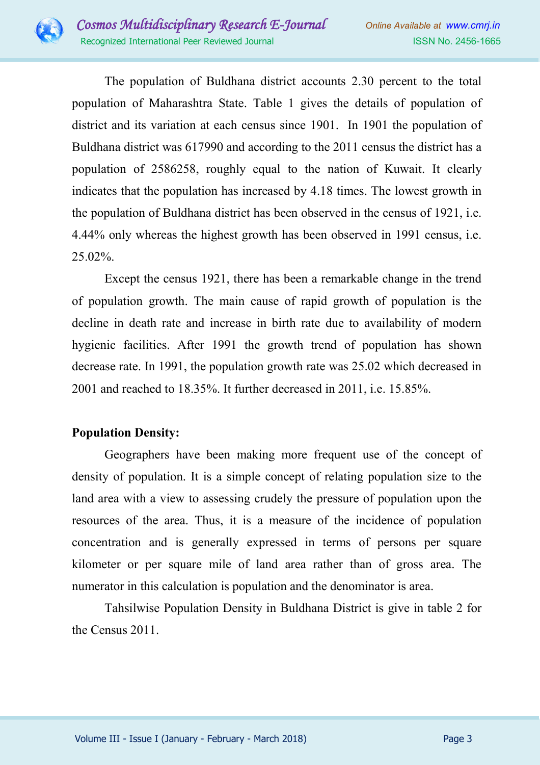

The population of Buldhana district accounts 2.30 percent to the total population of Maharashtra State. Table 1 gives the details of population of district and its variation at each census since 1901. In 1901 the population of Buldhana district was 617990 and according to the 2011 census the district has a population of 2586258, roughly equal to the nation of Kuwait. It clearly indicates that the population has increased by 4.18 times. The lowest growth in the population of Buldhana district has been observed in the census of 1921, i.e. 4.44% only whereas the highest growth has been observed in 1991 census, i.e. 25.02%.

 Except the census 1921, there has been a remarkable change in the trend of population growth. The main cause of rapid growth of population is the decline in death rate and increase in birth rate due to availability of modern hygienic facilities. After 1991 the growth trend of population has shown decrease rate. In 1991, the population growth rate was 25.02 which decreased in 2001 and reached to 18.35%. It further decreased in 2011, i.e. 15.85%.

# **Population Density:**

Geographers have been making more frequent use of the concept of density of population. It is a simple concept of relating population size to the land area with a view to assessing crudely the pressure of population upon the resources of the area. Thus, it is a measure of the incidence of population concentration and is generally expressed in terms of persons per square kilometer or per square mile of land area rather than of gross area. The numerator in this calculation is population and the denominator is area.

Tahsilwise Population Density in Buldhana District is give in table 2 for the Census 2011.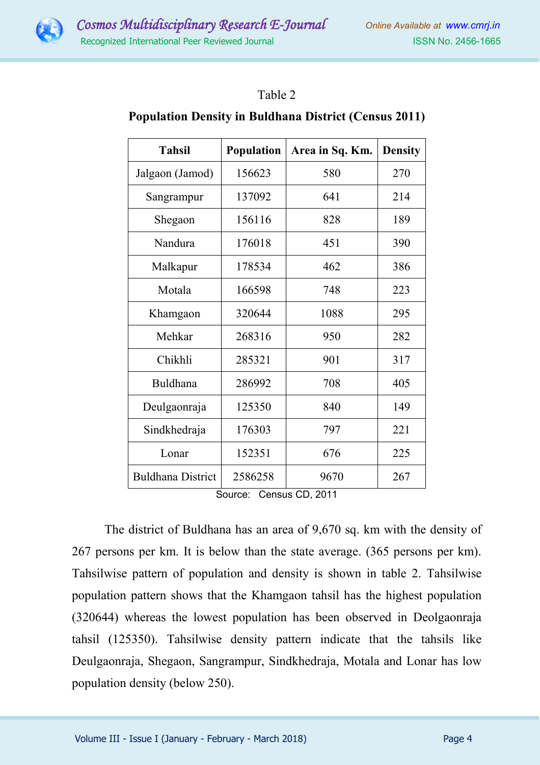### Table 2

#### **Population Density in Buldhana District (Census 2011)**

| Tahsil                   | <b>Population</b> | Area in Sq. Km. | <b>Density</b> |
|--------------------------|-------------------|-----------------|----------------|
| Jalgaon (Jamod)          | 156623            | 580             | 270            |
| Sangrampur               | 137092            | 641             | 214            |
| Shegaon                  | 156116            | 828             | 189            |
| Nandura                  | 176018            | 451             | 390            |
| Malkapur                 | 178534            | 462             | 386            |
| Motala                   | 166598            | 748             | 223            |
| Khamgaon                 | 320644            | 1088            | 295            |
| Mehkar                   | 268316            | 950             | 282            |
| Chikhli                  | 285321            | 901             | 317            |
| Buldhana                 | 286992            | 708             | 405            |
| Deulgaonraja             | 125350            | 840             | 149            |
| Sindkhedraja             | 176303            | 797             | 221            |
| Lonar                    | 152351            | 676             | 225            |
| <b>Buldhana District</b> | 2586258           | 9670            | 267            |

Source: Census CD, 2011

The district of Buldhana has an area of 9,670 sq. km with the density of 267 persons per km. It is below than the state average. (365 persons per km). Tahsilwise pattern of population and density is shown in table 2. Tahsilwise population pattern shows that the Khamgaon tahsil has the highest population (320644) whereas the lowest population has been observed in Deolgaonraja tahsil (125350). Tahsilwise density pattern indicate that the tahsils like Deulgaonraja, Shegaon, Sangrampur, Sindkhedraja, Motala and Lonar has low population density (below 250).